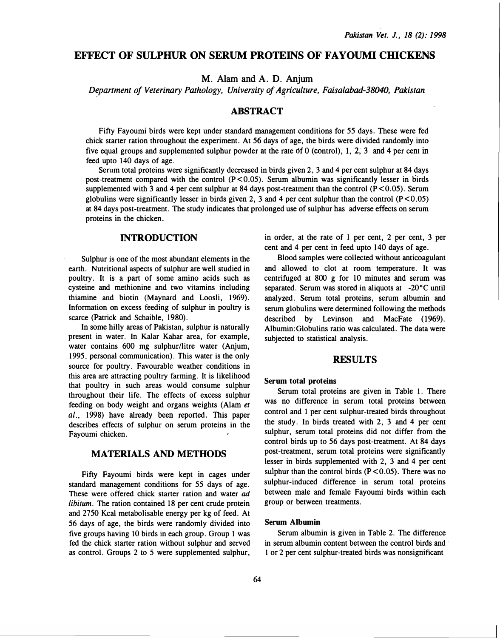# EFFECT OF SULPHUR ON SERUM PROTEINS OF FAYOUMI CHICKENS

M. Alam and A. D. Anjum

D�partment of Veterinary Pathology, University of Agriculture, Faisalabad-38040, Pakistan

## ABSTRACT

Fifty Fayoumi birds were kept under standard management conditions for 55 days. These were fed chick starter ration throughout the experiment. At 56 days of age, the birds were divided randomly into five equal groups and supplemented sulphur powder at the rate of 0 (control), 1, 2; 3 and 4 per cent in feed upto 140 days of age.

Serum total proteins were significantly decreased in birds given 2, 3 and 4 per cent sulphur at 84 days post-treatment compared with the control (P < 0.05). Serum albumin was significantly lesser in birds supplemented with 3 and 4 per cent sulphur at 84 days post-treatment than the control  $(P<0.05)$ . Serum globulins were significantly lesser in birds given 2, 3 and 4 per cent sulphur than the control  $(P < 0.05)$ at 84 days post -treatment. The study indicates that prolonged use of sulphur has adverse effects on serum proteins in the chicken.

# INTRODUCTION

Sulphur is one of the most abundant elements in the earth. Nutritional aspects of sulphur are well studied in poultry. It is a part of some amino acids such as cysteine and methionine and two vitamins including thiamine and biotin (Maynard and Loosli, 1969). Information on excess feeding of sulphur in poultry is scarce (Patrick and Schaible, 1980).

In some hilly areas of Pakistan, sulphur is naturally present in water. In Kalar Kahar area, for example, water contains 600 mg sulphur/litre water (Anjum, 1995, personal communication). This water is the only source for poultry. Favourable weather conditions in this area are attracting poultry farming. It is likelihood that poultry in such areas would consume sulphur throughout their life. The effects of excess sulphur feeding on body weight and organs weights (Alam et al., 1998) have already been reported. This paper describes effects of sulphur on serum proteins in the Fayoumi chicken.

# MATERIALS AND METHODS

Fifty Fayoumi birds were kept in cages under standard management conditions for 55 days of age. These were offered chick starter ration and water ad libitum. The ration contained 18 per cent crude protein and 2750 Kcal metabolisable energy per kg of feed. At 56 days of age, the birds were randomly divided into five groups having 10 birds in each group. Group 1 was fed the chick starter ration without sulphur and served as control. Groups 2 to 5 were supplemented sulphur,

in order, at the rate of 1 per cent, 2 per cent, 3 per cent and 4 per cent in feed upto 140 days of age.

Blood samples were collected without anticoagulant and allowed to clot at room temperature. It was centrifuged at 800 g for 10 minutes and serum was separated. Serum was stored in aliquots at -20°C until analyzed. Serum total proteins, serum albumin and serum globulins were determined following the methods described by Levinson and MacFate (1969). Albumin:Globulins ratio was calculated. The data were subjected to statistical analysis.

# RESULTS

#### Serum total proteins

Serum total proteins are given in Table 1. There was no difference in serum total proteins between control and 1 per cent sulphur-treated birds throughout the study. In birds treated with 2, 3 and 4 per cent sulphur, serum total proteins did not differ from the control birds up to 56 days post-treatment. At 84 days post-treatment, serum total proteins were significantly lesser in birds supplemented with 2, 3 and 4 per cent sulphur than the control birds  $(P<0.05)$ . There was no sulphur-induced difference in serum total proteins between male and female Fayoumi birds within each group or between treatments.

### Serum Albumin

Serum albumin is given in Table 2. The difference in serum albumin content between the control birds and 1 or 2 per cent sulphur-treated birds was nonsignificant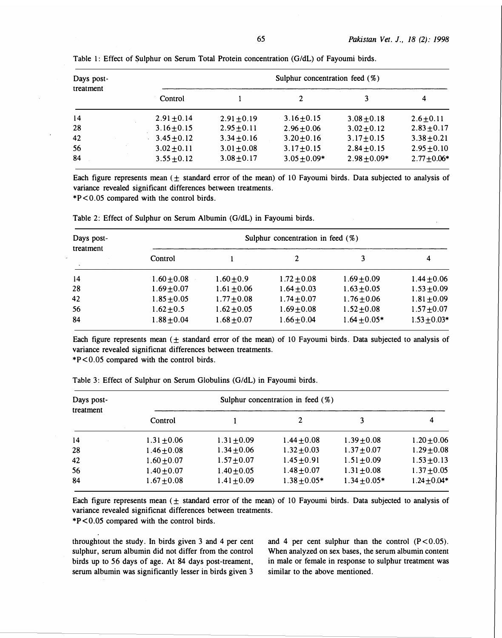| Days post-<br>treatment | Sulphur concentration feed $(\%)$ |                 |                  |                  |                 |
|-------------------------|-----------------------------------|-----------------|------------------|------------------|-----------------|
|                         | Control                           |                 |                  |                  | 4               |
| 14                      | $2.91 + 0.14$                     | $2.91 + 0.19$   | $3.16 + 0.15$    | $3.08 + 0.18$    | $2.6 \pm 0.11$  |
| 28                      | $3.16 \pm 0.15$                   | $2.95 \pm 0.11$ | $2.96 \pm 0.06$  | $3.02 + 0.12$    | $2.83 \pm 0.17$ |
| 42                      | $3.45 \pm 0.12$                   | $3.34 \pm 0.16$ | $3.20 \pm 0.16$  | $3.17 \pm 0.15$  | $3.38 \pm 0.21$ |
| 56                      | $3.02 \pm 0.11$                   | $3.01 \pm 0.08$ | $3.17 \pm 0.15$  | $2.84 + 0.15$    | $2.95 \pm 0.10$ |
| 84                      | $3.55 \pm 0.12$                   | $3.08 \pm 0.17$ | $3.05 \pm 0.09*$ | $2.98 \pm 0.09*$ | $2.77 + 0.06*$  |

Table 1: Effect of Sulphur on Serum Total Protein concentration (G/dL) of Fayoumi birds.

Each figure represents mean  $(\pm$  standard error of the mean) of 10 Fayoumi birds. Data subjected to analysis of variance revealed significant differences between treatments.

\*P < 0. 05 compared with the control birds.

| Days post-<br>treatment | Sulphur concentration in feed $(\%)$ |                 |                 |                 |                  |  |
|-------------------------|--------------------------------------|-----------------|-----------------|-----------------|------------------|--|
|                         | Control                              |                 | 2               | 3               | 4                |  |
| 14                      | $1.60 + 0.08$                        | $1.60 + 0.9$    | $1.72 + 0.08$   | $1.69 + 0.09$   | $1.44 + 0.06$    |  |
| 28                      | $1.69 \pm 0.07$                      | $1.61 \pm 0.06$ | $1.64 \pm 0.03$ | $1.63 \pm 0.05$ | $1.53 \pm 0.09$  |  |
| 42                      | $1.85 \pm 0.05$                      | $1.77 \pm 0.08$ | $1.74 \pm 0.07$ | $1.76 \pm 0.06$ | $1.81 \pm 0.09$  |  |
| 56                      | $1.62 \pm 0.5$                       | $1.62 \pm 0.05$ | $1.69 \pm 0.08$ | $1.52 \pm 0.08$ | $1.57 + 0.07$    |  |
| 84                      | $1.88 \pm 0.04$                      | $1.68 + 0.07$   | $1.66 \pm 0.04$ | $1.64 + 0.05*$  | $1.53 \pm 0.03*$ |  |

Table 2: Effect of Sulphur on Serum Albumin (G/dL) in Fayoumi birds.

Each figure represents mean  $(\pm$  standard error of the mean) of 10 Fayoumi birds. Data subjected to analysis of variance revealed significnat differences between treatments. \*P<0.05 compared with the control birds.

| Days post-<br>treatment | Sulphur concentration in feed $(\%)$ |                 |                  |                  |                  |  |
|-------------------------|--------------------------------------|-----------------|------------------|------------------|------------------|--|
|                         | Control                              |                 | 2                |                  | 4                |  |
| 14                      | $1.31 \pm 0.06$                      | $1.31 \pm 0.09$ | $1.44 + 0.08$    | $1.39 + 0.08$    | $1.20 \pm 0.06$  |  |
| 28                      | $1.46 \pm 0.08$                      | $1.34 \pm 0.06$ | $1.32 \pm 0.03$  | $1.37 \pm 0.07$  | $1.29 \pm 0.08$  |  |
| 42                      | $1.60 \pm 0.07$                      | $1.57 + 0.07$   | $1.45 + 0.91$    | $1.51 \pm 0.09$  | $1.53 \pm 0.13$  |  |
| 56                      | $1.40 \pm 0.07$                      | $1.40 \pm 0.05$ | $1.48 \pm 0.07$  | $1.31 \pm 0.08$  | $1.37 \pm 0.05$  |  |
| 84                      | $1.67 + 0.08$                        | $1.41 \pm 0.09$ | $1.38 \pm 0.05*$ | $1.34 \pm 0.05*$ | $1.24 \pm 0.04*$ |  |

Table 3: Effect of Sulphur on Serum Globulins (G/dL) in Fayoumi birds.

Each figure represents mean  $(\pm$  standard error of the mean) of 10 Fayoumi birds. Data subjected to analysis of variance revealed significnat differences between treatments.

\*P<0.05 compared with the control birds.

throughtout the study. In birds given 3 and 4 per cent sulphur, serum albumin did not differ from the control birds up to 56 days of age. At 84 days post-treament, serum albumin was significantly lesser in birds given 3 and 4 per cent sulphur than the control  $(P<0.05)$ . When analyzed on sex bases, the serum albumin content in male or female in response to sulphur treatment was similar to the above mentioned.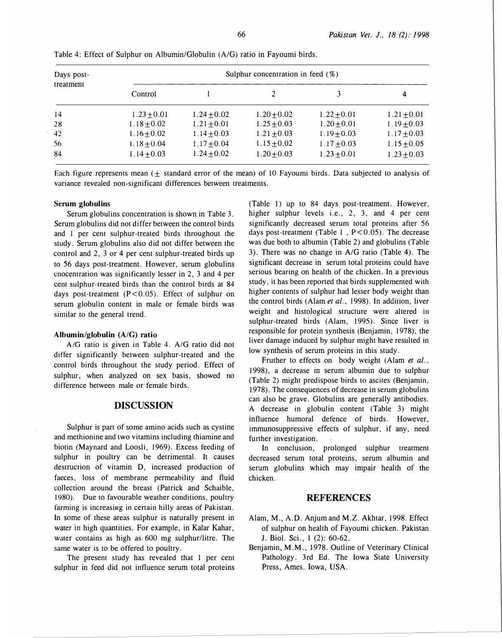| Days post-<br>treatment | Sulphur concentration in feed $(\%)$ |                 |                 |                 |                 |  |
|-------------------------|--------------------------------------|-----------------|-----------------|-----------------|-----------------|--|
|                         | Control                              |                 |                 |                 | 4               |  |
| 14                      | $1.23 + 0.01$                        | $1.24 + 0.02$   | $1.20 + 0.02$   | $1.22 + 0.01$   | $1.21 \pm 0.01$ |  |
| 28                      | 1.18 $\pm$ 0.02                      | $1.21 \pm 0.01$ | $1.25 \pm 0.03$ | $1.20 \pm 0.01$ | $1.19 \pm 0.03$ |  |
| 42                      | $1.16 \pm 0.02$                      | 1.14 $\pm$ 0.03 | $1.21 \pm 0.03$ | $1.19 \pm 0.03$ | $1.17 \pm 0.03$ |  |
| 56                      | $1.18 \pm 0.04$                      | $1.17 \pm 0.04$ | 1.15 $\pm$ 0.02 | $1.17 \pm 0.03$ | $1.15 \pm 0.05$ |  |
| 84                      | 1.14 $\pm$ 0.03                      | $1.24 \pm 0.02$ | $1.20 \pm 0.03$ | $1.23 \pm 0.01$ | $1.23 \pm 0.03$ |  |

Table 4: Effect of Sulphur on Albumin/Globulin (A/G) ratio in Fayoumi birds.

Each figure represents mean  $(\pm$  standard error of the mean) of 10 Fayoumi birds. Data subjected to analysis of variance revealed non-significant differences between treatments.

#### Serum globulins

Serum globulins concentration is shown in Table 3. Serum globulins did not differ between the control birds and 1 per cent sulphur-treated birds throughout the study. Serum globulins also did not differ between the control and 2, 3 or 4 per cent sulphur-treated birds up to 56 days post-treatment. However, serum globulins cnocentration was significantly lesser in 2, 3 and 4 per cent sulphur-treated birds than the control birds at 84 days post-treatment  $(P < 0.05)$ . Effect of sulphur on serum globulin content in male or female birds was similar to the general trend.

#### Albumin/globulin (A/G) ratio

 $A/G$  ratio is given in Table 4.  $A/G$  ratio did not differ significantly between sulphur-treated and the control birds throughout the study period. Effect of sulphur, when analyzed on sex basis, showed no difference between male or female birds.

### DISCUSSION

Sulphur is part of some amino acids such as cystine and methionine and two vitamins including thiamine and biotin (Maynard and Loosli, 1969). Excess feeding of sulphur in poultry can be detrimental. It causes destruction of vitamin D, increased production of faeces, loss of membrane permeability and fluid collection around the breast (Patrick and Schaible, 1980). Due to favourable weather conditions, poultry farming is increasing in certain hilly areas of Pakistan. In some of these areas sulphur is naturally present in water in high quantities. For example, in Kalar Kahar, water contains as high as 600 mg sulphur/litre. The same water is to be offered to poultry.

The present study has revealed that 1 per cent sulphur in feed did not influence serum total proteins

(Table 1) up to 84 days post-treatment. However, higher sulphur levels i.e., 2, 3, and 4 per cent significantly decreased serum total proteins after 56 days post-treatment (Table 1,  $P < 0.05$ ). The decrease was due both to albumin (Table 2) and globulins (Table 3). There was no change in A/G ratio (Table 4). The significant decrease in serum total proteins could have serious bearing on health of the chicken. In a previous study, it has been reported that birds supplemented with higher contents of sulphur had lesser body weight than the control birds (Alam et al., 1998). In addition, liver weight and histological structure were altered in sulphur-treated birds (Alam, 1995). Since liver is responsible for protein synthesis (Benjamin, 1978), the liver damage induced by sulphur might have resulted in low synthesis of serum proteins in this study.

Fruther to effects on body weight (Alam et al., 1998), a decrease in serum albumin due to sulphur (Table 2) might predispose birds to ascites (Benjamin, 1978). The consequences of decrease in serum globulins can also be grave. Globulins are generally antibodies. A decrease in globulin content (Table 3) might influence humoral defence of birds. However, immunosuppressive effects of sulphur, if any, need further investigation.

In conclusion, prolonged sulphur treatment decreased serum total proteins, serum albumin and serum globulins which may impair health of the chicken.

#### REFERENCES

- Alam, M., A.D. Anjum and M.Z. Akhtar, 1998. Effect of sulphur on health of Fayoumi chicken. Pakistan 1. Bioi. Sci. , 1 (2): 60-62.
- Benjamin, M.M., 1978. Outline of Veterinary Clinical Pathology. 3rd Ed. The Iowa State University Press, Ames. Iowa, USA.